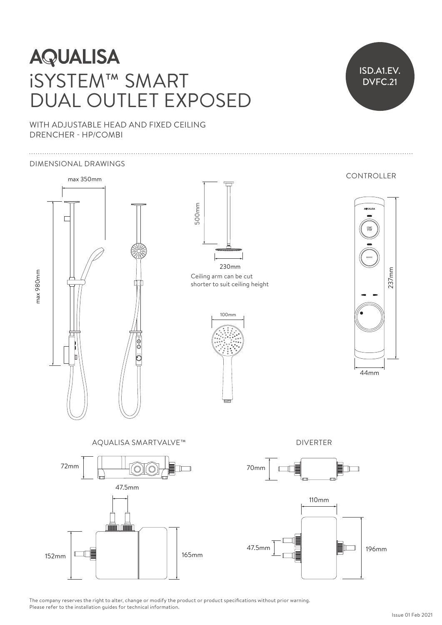# **AQUALISA** iSYSTEM™ SMART DUAL OUTLET EXPOSED



WITH ADJUSTABLE HEAD AND FIXED CEILING DRENCHER - HP/COMBI

#### DIMENSIONAL DRAWINGS



The company reserves the right to alter, change or modify the product or product specifications without prior warning. Please refer to the installation guides for technical information.